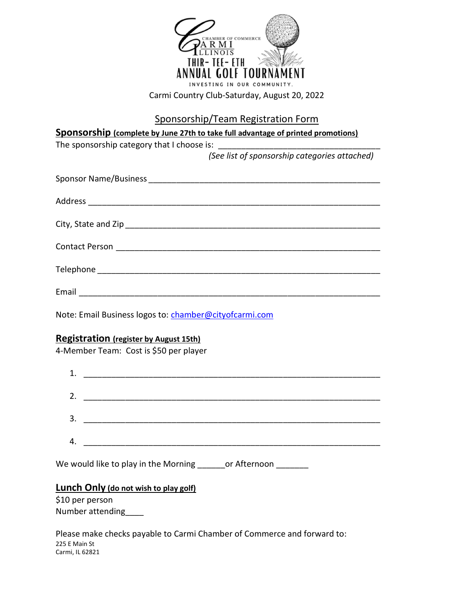

Sponsorship/Team Registration Form

# Sponsorship (complete by June 27th to take full advantage of printed promotions)

The sponsorship category that I choose is:

(See list of sponsorship categories attached)

| Email |
|-------|

Note: Email Business logos to: chamber@cityofcarmi.com

## Registration (register by August 15th)

4-Member Team: Cost is \$50 per player

| 1. |    |  |
|----|----|--|
|    | 2. |  |
|    | 3. |  |
| 4. |    |  |

We would like to play in the Morning or Afternoon

## Lunch Only (do not wish to play golf)

\$10 per person Number attending\_\_\_\_

Please make checks payable to Carmi Chamber of Commerce and forward to: 225 E Main St Carmi, IL 62821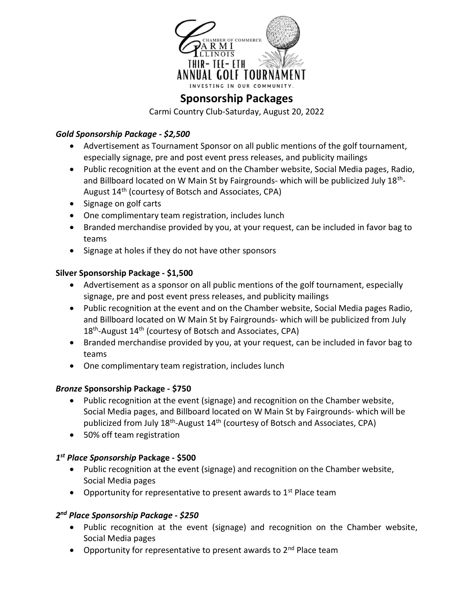

## Sponsorship Packages

Carmi Country Club-Saturday, August 20, 2022

#### Gold Sponsorship Package - \$2,500

- Advertisement as Tournament Sponsor on all public mentions of the golf tournament, especially signage, pre and post event press releases, and publicity mailings
- Public recognition at the event and on the Chamber website, Social Media pages, Radio, and Billboard located on W Main St by Fairgrounds- which will be publicized July 18<sup>th</sup>-August 14th (courtesy of Botsch and Associates, CPA)
- Signage on golf carts
- One complimentary team registration, includes lunch
- Branded merchandise provided by you, at your request, can be included in favor bag to teams
- Signage at holes if they do not have other sponsors

#### Silver Sponsorship Package - \$1,500

- Advertisement as a sponsor on all public mentions of the golf tournament, especially signage, pre and post event press releases, and publicity mailings
- Public recognition at the event and on the Chamber website, Social Media pages Radio, and Billboard located on W Main St by Fairgrounds- which will be publicized from July 18<sup>th</sup>-August 14<sup>th</sup> (courtesy of Botsch and Associates, CPA)
- Branded merchandise provided by you, at your request, can be included in favor bag to teams
- One complimentary team registration, includes lunch

## Bronze Sponsorship Package - \$750

- Public recognition at the event (signage) and recognition on the Chamber website, Social Media pages, and Billboard located on W Main St by Fairgrounds- which will be publicized from July 18<sup>th</sup>-August 14<sup>th</sup> (courtesy of Botsch and Associates, CPA)
- 50% off team registration

## 1<sup>st</sup> Place Sponsorship Package - \$500

- Public recognition at the event (signage) and recognition on the Chamber website, Social Media pages
- Opportunity for representative to present awards to  $1<sup>st</sup>$  Place team

## 2<sup>nd</sup> Place Sponsorship Package - \$250

- Public recognition at the event (signage) and recognition on the Chamber website, Social Media pages
- Opportunity for representative to present awards to  $2^{nd}$  Place team